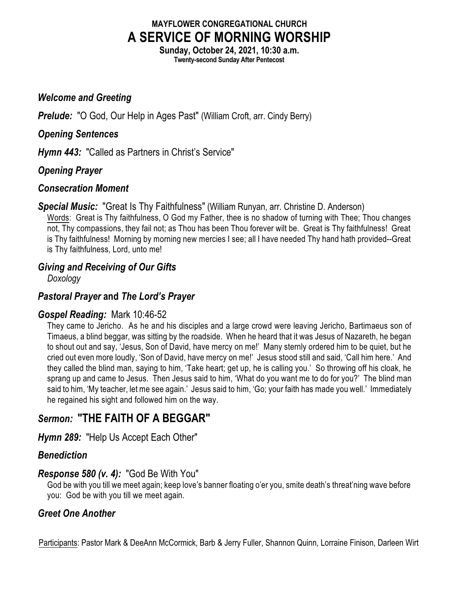## **MAYFLOWER CONGREGATIONAL CHURCH A SERVICE OF MORNING WORSHIP**

**Sunday, October 24, 2021, 10:30 a.m. Twenty-second Sunday After Pentecost**

#### *Welcome and Greeting*

**Prelude:** "O God, Our Help in Ages Past" (William Croft, arr. Cindy Berry)

#### *Opening Sentences*

*Hymn 443:* "Called as Partners in Christ's Service"

#### *Opening Prayer*

#### *Consecration Moment*

*Special Music:* "Great Is Thy Faithfulness" (William Runyan, arr. Christine D. Anderson) Words: Great is Thy faithfulness, O God my Father, thee is no shadow of turning with Thee; Thou changes

not, Thy compassions, they fail not; as Thou has been Thou forever wilt be. Great is Thy faithfulness! Great is Thy faithfulness! Morning by morning new mercies I see; all I have needed Thy hand hath provided--Great is Thy faithfulness, Lord, unto me!

#### *Giving and Receiving of Our Gifts*

*Doxology*

## *Pastoral Prayer* **and** *The Lord's Prayer*

## *Gospel Reading:* Mark 10:46-52

They came to Jericho. As he and his disciples and a large crowd were leaving Jericho, Bartimaeus son of Timaeus, a blind beggar, was sitting by the roadside. When he heard that it was Jesus of Nazareth, he began to shout out and say, 'Jesus, Son of David, have mercy on me!' Many sternly ordered him to be quiet, but he cried out even more loudly, 'Son of David, have mercy on me!' Jesus stood still and said, 'Call him here.' And they called the blind man, saying to him, 'Take heart; get up, he is calling you.' So throwing off his cloak, he sprang up and came to Jesus. Then Jesus said to him, 'What do you want me to do for you?' The blind man said to him, 'My teacher, let me see again.' Jesus said to him, 'Go; your faith has made you well.' Immediately he regained his sight and followed him on the way.

# *Sermon:* **"THE FAITH OF A BEGGAR"**

*Hymn 289:* "Help Us Accept Each Other"

## *Benediction*

## *Response 580 (v. 4):* "God Be With You"

God be with you till we meet again; keep love's banner floating o'er you, smite death's threat'ning wave before you: God be with you till we meet again.

## *Greet One Another*

Participants: Pastor Mark & DeeAnn McCormick, Barb & Jerry Fuller, Shannon Quinn, Lorraine Finison, Darleen Wirt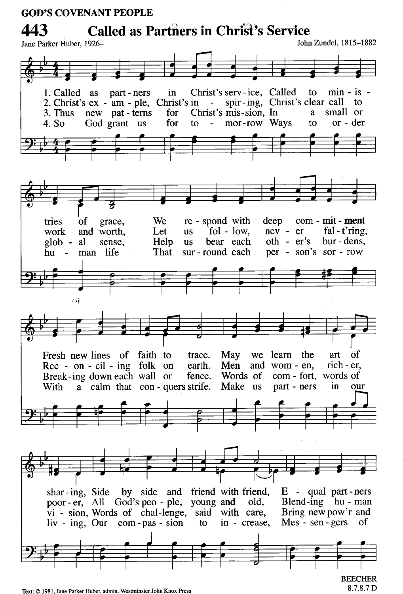#### **GOD'S COVENANT PEOPLE**

#### 443 **Called as Partners in Christ's Service**

Jane Parker Huber, 1926-

John Zundel, 1815-1882



**BEECHER** 8.7.8.7 D

Text: © 1981, Jane Parker Huber, admin. Westminster John Knox Press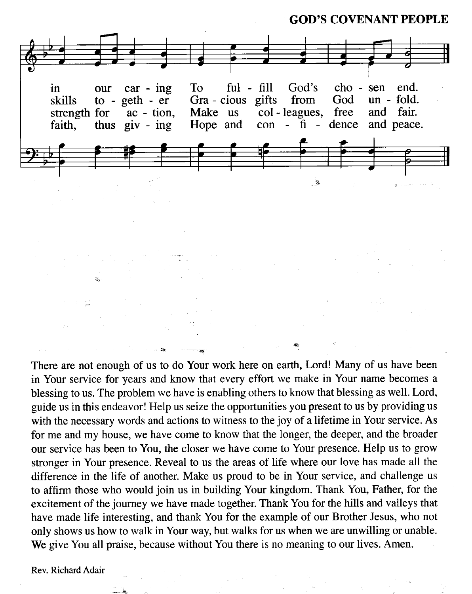**GOD'S COVENANT PEOPLE** 



There are not enough of us to do Your work here on earth, Lord! Many of us have been in Your service for years and know that every effort we make in Your name becomes a blessing to us. The problem we have is enabling others to know that blessing as well. Lord, guide us in this endeavor! Help us seize the opportunities you present to us by providing us with the necessary words and actions to witness to the joy of a lifetime in Your service. As for me and my house, we have come to know that the longer, the deeper, and the broader our service has been to You, the closer we have come to Your presence. Help us to grow stronger in Your presence. Reveal to us the areas of life where our love has made all the difference in the life of another. Make us proud to be in Your service, and challenge us to affirm those who would join us in building Your kingdom. Thank You, Father, for the excitement of the journey we have made together. Thank You for the hills and valleys that have made life interesting, and thank You for the example of our Brother Jesus, who not only shows us how to walk in Your way, but walks for us when we are unwilling or unable. We give You all praise, because without You there is no meaning to our lives. Amen.

Rev. Richard Adair